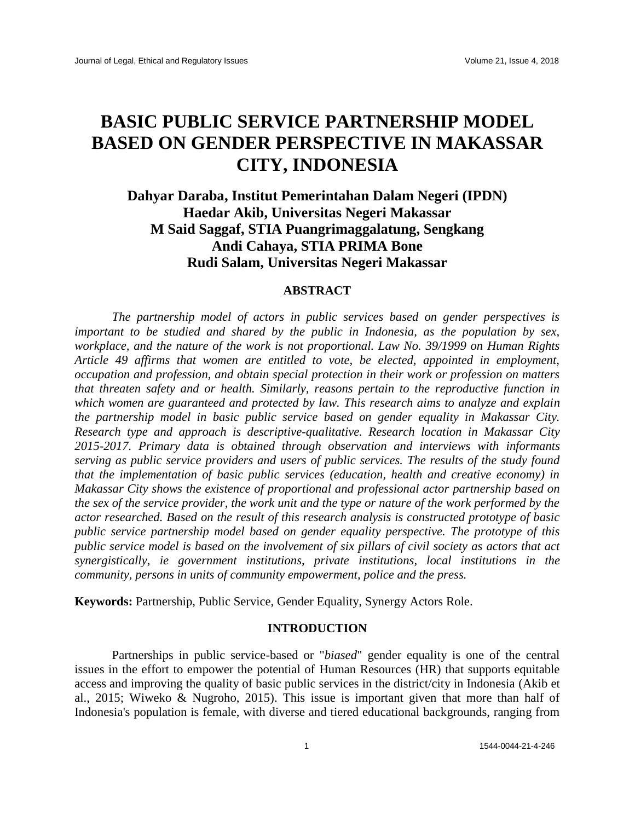# **BASIC PUBLIC SERVICE PARTNERSHIP MODEL BASED ON GENDER PERSPECTIVE IN MAKASSAR CITY, INDONESIA**

**Dahyar Daraba, Institut Pemerintahan Dalam Negeri (IPDN) Haedar Akib, Universitas Negeri Makassar M Said Saggaf, STIA Puangrimaggalatung, Sengkang Andi Cahaya, STIA PRIMA Bone Rudi Salam, Universitas Negeri Makassar**

# **ABSTRACT**

*The partnership model of actors in public services based on gender perspectives is important to be studied and shared by the public in Indonesia, as the population by sex, workplace, and the nature of the work is not proportional. Law No. 39/1999 on Human Rights Article 49 affirms that women are entitled to vote, be elected, appointed in employment, occupation and profession, and obtain special protection in their work or profession on matters that threaten safety and or health. Similarly, reasons pertain to the reproductive function in which women are guaranteed and protected by law. This research aims to analyze and explain the partnership model in basic public service based on gender equality in Makassar City. Research type and approach is descriptive-qualitative. Research location in Makassar City 2015-2017. Primary data is obtained through observation and interviews with informants serving as public service providers and users of public services. The results of the study found that the implementation of basic public services (education, health and creative economy) in Makassar City shows the existence of proportional and professional actor partnership based on the sex of the service provider, the work unit and the type or nature of the work performed by the actor researched. Based on the result of this research analysis is constructed prototype of basic public service partnership model based on gender equality perspective. The prototype of this public service model is based on the involvement of six pillars of civil society as actors that act synergistically, ie government institutions, private institutions, local institutions in the community, persons in units of community empowerment, police and the press.*

**Keywords:** Partnership, Public Service, Gender Equality, Synergy Actors Role.

# **INTRODUCTION**

Partnerships in public service-based or "*biased*" gender equality is one of the central issues in the effort to empower the potential of Human Resources (HR) that supports equitable access and improving the quality of basic public services in the district/city in Indonesia (Akib et al., 2015; Wiweko & Nugroho, 2015). This issue is important given that more than half of Indonesia's population is female, with diverse and tiered educational backgrounds, ranging from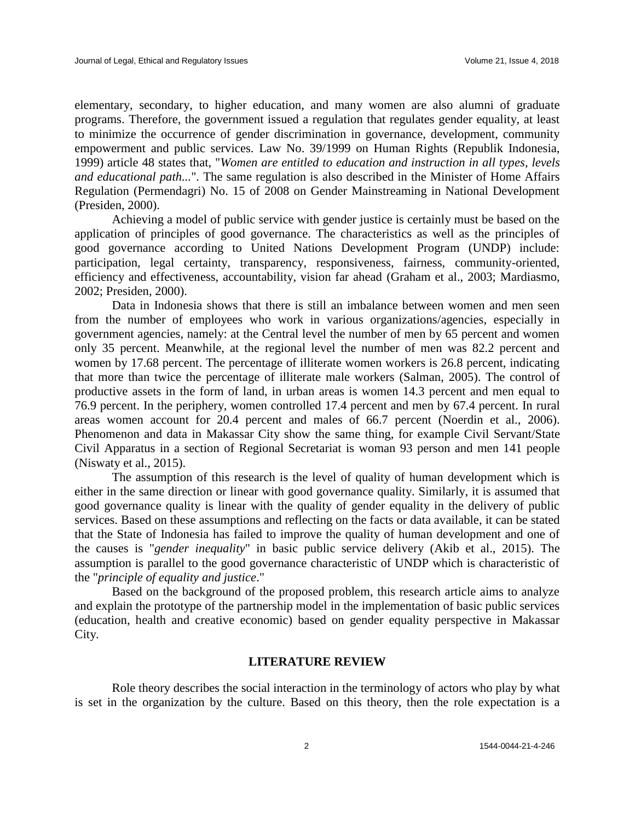elementary, secondary, to higher education, and many women are also alumni of graduate programs. Therefore, the government issued a regulation that regulates gender equality, at least to minimize the occurrence of gender discrimination in governance, development, community empowerment and public services. Law No. 39/1999 on Human Rights (Republik Indonesia, 1999) article 48 states that, "*Women are entitled to education and instruction in all types, levels and educational path...*". The same regulation is also described in the Minister of Home Affairs Regulation (Permendagri) No. 15 of 2008 on Gender Mainstreaming in National Development (Presiden, 2000).

Achieving a model of public service with gender justice is certainly must be based on the application of principles of good governance. The characteristics as well as the principles of good governance according to United Nations Development Program (UNDP) include: participation, legal certainty, transparency, responsiveness, fairness, community-oriented, efficiency and effectiveness, accountability, vision far ahead (Graham et al., 2003; Mardiasmo, 2002; Presiden, 2000).

Data in Indonesia shows that there is still an imbalance between women and men seen from the number of employees who work in various organizations/agencies, especially in government agencies, namely: at the Central level the number of men by 65 percent and women only 35 percent. Meanwhile, at the regional level the number of men was 82.2 percent and women by 17.68 percent. The percentage of illiterate women workers is 26.8 percent, indicating that more than twice the percentage of illiterate male workers (Salman, 2005). The control of productive assets in the form of land, in urban areas is women 14.3 percent and men equal to 76.9 percent. In the periphery, women controlled 17.4 percent and men by 67.4 percent. In rural areas women account for 20.4 percent and males of 66.7 percent (Noerdin et al., 2006). Phenomenon and data in Makassar City show the same thing, for example Civil Servant/State Civil Apparatus in a section of Regional Secretariat is woman 93 person and men 141 people (Niswaty et al., 2015).

The assumption of this research is the level of quality of human development which is either in the same direction or linear with good governance quality. Similarly, it is assumed that good governance quality is linear with the quality of gender equality in the delivery of public services. Based on these assumptions and reflecting on the facts or data available, it can be stated that the State of Indonesia has failed to improve the quality of human development and one of the causes is "*gender inequality*" in basic public service delivery (Akib et al., 2015). The assumption is parallel to the good governance characteristic of UNDP which is characteristic of the "*principle of equality and justice*."

Based on the background of the proposed problem, this research article aims to analyze and explain the prototype of the partnership model in the implementation of basic public services (education, health and creative economic) based on gender equality perspective in Makassar City.

# **LITERATURE REVIEW**

Role theory describes the social interaction in the terminology of actors who play by what is set in the organization by the culture. Based on this theory, then the role expectation is a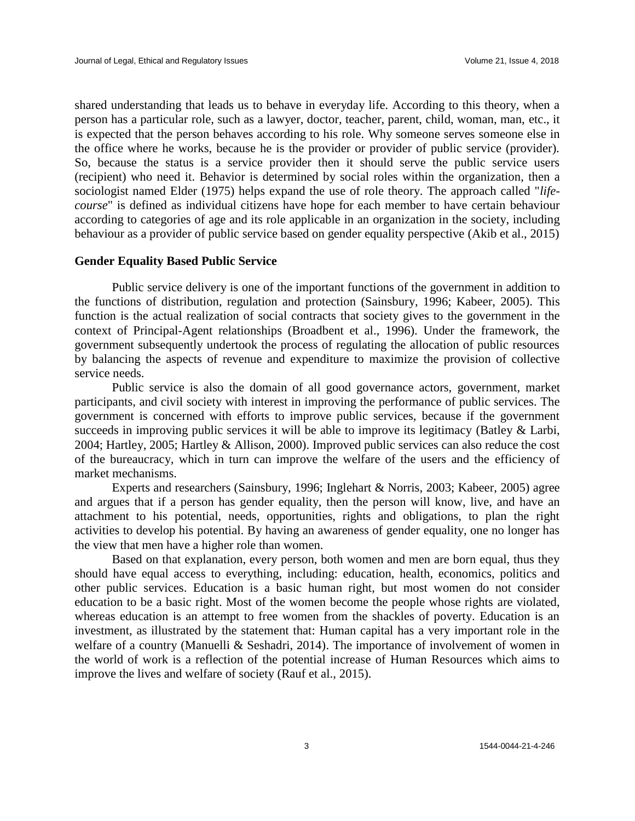shared understanding that leads us to behave in everyday life. According to this theory, when a person has a particular role, such as a lawyer, doctor, teacher, parent, child, woman, man, etc., it is expected that the person behaves according to his role. Why someone serves someone else in the office where he works, because he is the provider or provider of public service (provider). So, because the status is a service provider then it should serve the public service users (recipient) who need it. Behavior is determined by social roles within the organization, then a sociologist named Elder (1975) helps expand the use of role theory. The approach called "*lifecourse*" is defined as individual citizens have hope for each member to have certain behaviour according to categories of age and its role applicable in an organization in the society, including behaviour as a provider of public service based on gender equality perspective (Akib et al., 2015)

# **Gender Equality Based Public Service**

Public service delivery is one of the important functions of the government in addition to the functions of distribution, regulation and protection (Sainsbury, 1996; Kabeer, 2005). This function is the actual realization of social contracts that society gives to the government in the context of Principal-Agent relationships (Broadbent et al., 1996). Under the framework, the government subsequently undertook the process of regulating the allocation of public resources by balancing the aspects of revenue and expenditure to maximize the provision of collective service needs.

Public service is also the domain of all good governance actors, government, market participants, and civil society with interest in improving the performance of public services. The government is concerned with efforts to improve public services, because if the government succeeds in improving public services it will be able to improve its legitimacy (Batley & Larbi, 2004; Hartley, 2005; Hartley & Allison, 2000). Improved public services can also reduce the cost of the bureaucracy, which in turn can improve the welfare of the users and the efficiency of market mechanisms.

Experts and researchers (Sainsbury, 1996; Inglehart & Norris, 2003; Kabeer, 2005) agree and argues that if a person has gender equality, then the person will know, live, and have an attachment to his potential, needs, opportunities, rights and obligations, to plan the right activities to develop his potential. By having an awareness of gender equality, one no longer has the view that men have a higher role than women.

Based on that explanation, every person, both women and men are born equal, thus they should have equal access to everything, including: education, health, economics, politics and other public services. Education is a basic human right, but most women do not consider education to be a basic right. Most of the women become the people whose rights are violated, whereas education is an attempt to free women from the shackles of poverty. Education is an investment, as illustrated by the statement that: Human capital has a very important role in the welfare of a country (Manuelli & Seshadri, 2014). The importance of involvement of women in the world of work is a reflection of the potential increase of Human Resources which aims to improve the lives and welfare of society (Rauf et al., 2015).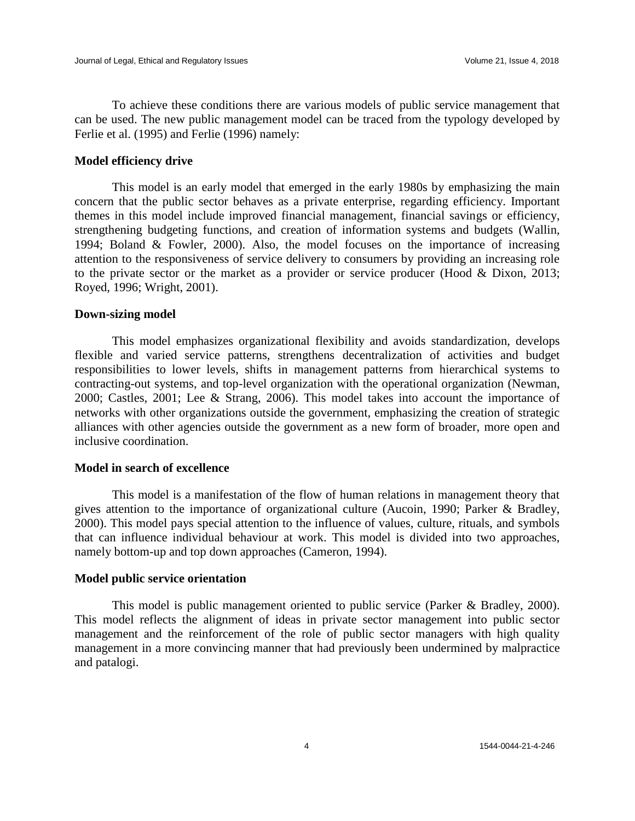To achieve these conditions there are various models of public service management that can be used. The new public management model can be traced from the typology developed by Ferlie et al. (1995) and Ferlie (1996) namely:

# **Model efficiency drive**

This model is an early model that emerged in the early 1980s by emphasizing the main concern that the public sector behaves as a private enterprise, regarding efficiency. Important themes in this model include improved financial management, financial savings or efficiency, strengthening budgeting functions, and creation of information systems and budgets (Wallin, 1994; Boland & Fowler, 2000). Also, the model focuses on the importance of increasing attention to the responsiveness of service delivery to consumers by providing an increasing role to the private sector or the market as a provider or service producer (Hood & Dixon, 2013; Royed, 1996; Wright, 2001).

#### **Down-sizing model**

This model emphasizes organizational flexibility and avoids standardization, develops flexible and varied service patterns, strengthens decentralization of activities and budget responsibilities to lower levels, shifts in management patterns from hierarchical systems to contracting-out systems, and top-level organization with the operational organization (Newman, 2000; Castles, 2001; Lee & Strang, 2006). This model takes into account the importance of networks with other organizations outside the government, emphasizing the creation of strategic alliances with other agencies outside the government as a new form of broader, more open and inclusive coordination.

# **Model in search of excellence**

This model is a manifestation of the flow of human relations in management theory that gives attention to the importance of organizational culture (Aucoin, 1990; Parker & Bradley, 2000). This model pays special attention to the influence of values, culture, rituals, and symbols that can influence individual behaviour at work. This model is divided into two approaches, namely bottom-up and top down approaches (Cameron, 1994).

# **Model public service orientation**

This model is public management oriented to public service (Parker & Bradley, 2000). This model reflects the alignment of ideas in private sector management into public sector management and the reinforcement of the role of public sector managers with high quality management in a more convincing manner that had previously been undermined by malpractice and patalogi.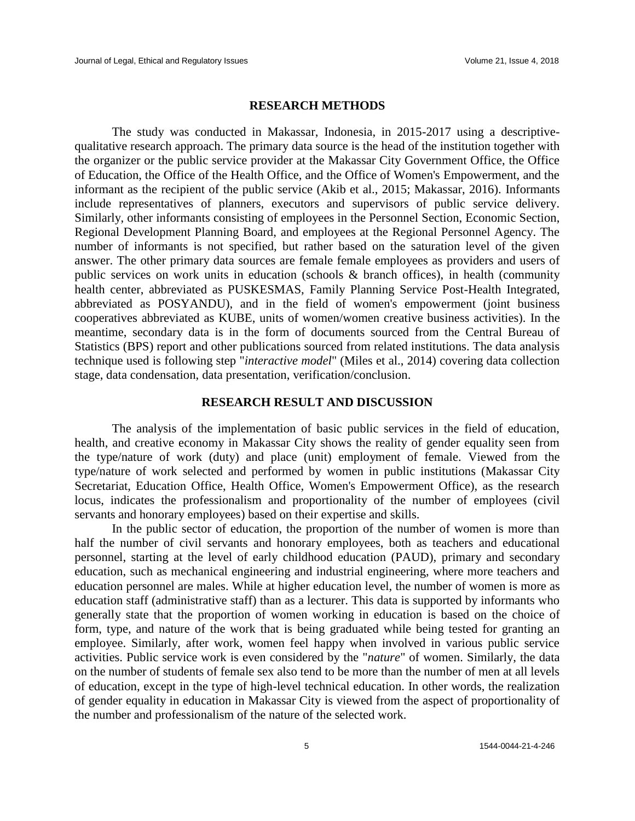#### **RESEARCH METHODS**

The study was conducted in Makassar, Indonesia, in 2015-2017 using a descriptivequalitative research approach. The primary data source is the head of the institution together with the organizer or the public service provider at the Makassar City Government Office, the Office of Education, the Office of the Health Office, and the Office of Women's Empowerment, and the informant as the recipient of the public service (Akib et al., 2015; Makassar, 2016). Informants include representatives of planners, executors and supervisors of public service delivery. Similarly, other informants consisting of employees in the Personnel Section, Economic Section, Regional Development Planning Board, and employees at the Regional Personnel Agency. The number of informants is not specified, but rather based on the saturation level of the given answer. The other primary data sources are female female employees as providers and users of public services on work units in education (schools & branch offices), in health (community health center, abbreviated as PUSKESMAS, Family Planning Service Post-Health Integrated, abbreviated as POSYANDU), and in the field of women's empowerment (joint business cooperatives abbreviated as KUBE, units of women/women creative business activities). In the meantime, secondary data is in the form of documents sourced from the Central Bureau of Statistics (BPS) report and other publications sourced from related institutions. The data analysis technique used is following step "*interactive model*" (Miles et al., 2014) covering data collection stage, data condensation, data presentation, verification/conclusion.

# **RESEARCH RESULT AND DISCUSSION**

The analysis of the implementation of basic public services in the field of education, health, and creative economy in Makassar City shows the reality of gender equality seen from the type/nature of work (duty) and place (unit) employment of female. Viewed from the type/nature of work selected and performed by women in public institutions (Makassar City Secretariat, Education Office, Health Office, Women's Empowerment Office), as the research locus, indicates the professionalism and proportionality of the number of employees (civil servants and honorary employees) based on their expertise and skills.

In the public sector of education, the proportion of the number of women is more than half the number of civil servants and honorary employees, both as teachers and educational personnel, starting at the level of early childhood education (PAUD), primary and secondary education, such as mechanical engineering and industrial engineering, where more teachers and education personnel are males. While at higher education level, the number of women is more as education staff (administrative staff) than as a lecturer. This data is supported by informants who generally state that the proportion of women working in education is based on the choice of form, type, and nature of the work that is being graduated while being tested for granting an employee. Similarly, after work, women feel happy when involved in various public service activities. Public service work is even considered by the "*nature*" of women. Similarly, the data on the number of students of female sex also tend to be more than the number of men at all levels of education, except in the type of high-level technical education. In other words, the realization of gender equality in education in Makassar City is viewed from the aspect of proportionality of the number and professionalism of the nature of the selected work.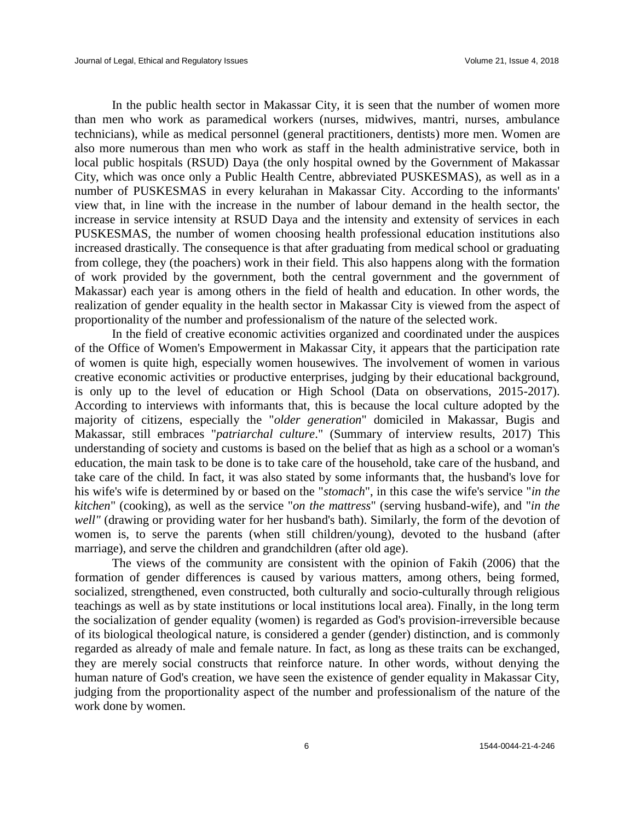In the public health sector in Makassar City, it is seen that the number of women more than men who work as paramedical workers (nurses, midwives, mantri, nurses, ambulance technicians), while as medical personnel (general practitioners, dentists) more men. Women are also more numerous than men who work as staff in the health administrative service, both in local public hospitals (RSUD) Daya (the only hospital owned by the Government of Makassar City, which was once only a Public Health Centre, abbreviated PUSKESMAS), as well as in a number of PUSKESMAS in every kelurahan in Makassar City. According to the informants' view that, in line with the increase in the number of labour demand in the health sector, the increase in service intensity at RSUD Daya and the intensity and extensity of services in each PUSKESMAS, the number of women choosing health professional education institutions also increased drastically. The consequence is that after graduating from medical school or graduating from college, they (the poachers) work in their field. This also happens along with the formation of work provided by the government, both the central government and the government of Makassar) each year is among others in the field of health and education. In other words, the realization of gender equality in the health sector in Makassar City is viewed from the aspect of proportionality of the number and professionalism of the nature of the selected work.

In the field of creative economic activities organized and coordinated under the auspices of the Office of Women's Empowerment in Makassar City, it appears that the participation rate of women is quite high, especially women housewives. The involvement of women in various creative economic activities or productive enterprises, judging by their educational background, is only up to the level of education or High School (Data on observations, 2015-2017). According to interviews with informants that, this is because the local culture adopted by the majority of citizens, especially the "*older generation*" domiciled in Makassar, Bugis and Makassar, still embraces "*patriarchal culture*." (Summary of interview results, 2017) This understanding of society and customs is based on the belief that as high as a school or a woman's education, the main task to be done is to take care of the household, take care of the husband, and take care of the child. In fact, it was also stated by some informants that, the husband's love for his wife's wife is determined by or based on the "*stomach*", in this case the wife's service "*in the kitchen*" (cooking), as well as the service "*on the mattress*" (serving husband-wife), and "*in the well"* (drawing or providing water for her husband's bath). Similarly, the form of the devotion of women is, to serve the parents (when still children/young), devoted to the husband (after marriage), and serve the children and grandchildren (after old age).

The views of the community are consistent with the opinion of Fakih (2006) that the formation of gender differences is caused by various matters, among others, being formed, socialized, strengthened, even constructed, both culturally and socio-culturally through religious teachings as well as by state institutions or local institutions local area). Finally, in the long term the socialization of gender equality (women) is regarded as God's provision-irreversible because of its biological theological nature, is considered a gender (gender) distinction, and is commonly regarded as already of male and female nature. In fact, as long as these traits can be exchanged, they are merely social constructs that reinforce nature. In other words, without denying the human nature of God's creation, we have seen the existence of gender equality in Makassar City, judging from the proportionality aspect of the number and professionalism of the nature of the work done by women.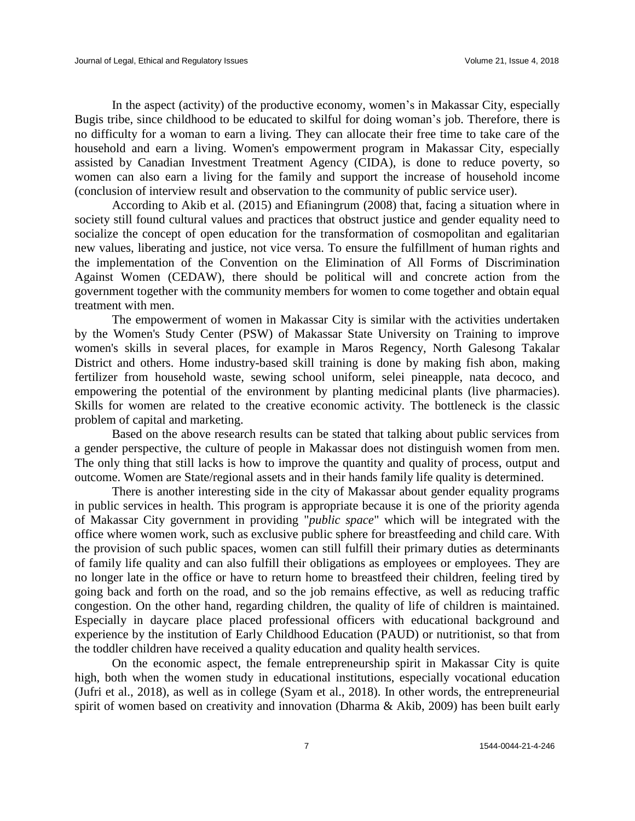In the aspect (activity) of the productive economy, women's in Makassar City, especially Bugis tribe, since childhood to be educated to skilful for doing woman's job. Therefore, there is no difficulty for a woman to earn a living. They can allocate their free time to take care of the household and earn a living. Women's empowerment program in Makassar City, especially assisted by Canadian Investment Treatment Agency (CIDA), is done to reduce poverty, so women can also earn a living for the family and support the increase of household income (conclusion of interview result and observation to the community of public service user).

According to Akib et al. (2015) and Efianingrum (2008) that, facing a situation where in society still found cultural values and practices that obstruct justice and gender equality need to socialize the concept of open education for the transformation of cosmopolitan and egalitarian new values, liberating and justice, not vice versa. To ensure the fulfillment of human rights and the implementation of the Convention on the Elimination of All Forms of Discrimination Against Women (CEDAW), there should be political will and concrete action from the government together with the community members for women to come together and obtain equal treatment with men.

The empowerment of women in Makassar City is similar with the activities undertaken by the Women's Study Center (PSW) of Makassar State University on Training to improve women's skills in several places, for example in Maros Regency, North Galesong Takalar District and others. Home industry-based skill training is done by making fish abon, making fertilizer from household waste, sewing school uniform, selei pineapple, nata decoco, and empowering the potential of the environment by planting medicinal plants (live pharmacies). Skills for women are related to the creative economic activity. The bottleneck is the classic problem of capital and marketing.

Based on the above research results can be stated that talking about public services from a gender perspective, the culture of people in Makassar does not distinguish women from men. The only thing that still lacks is how to improve the quantity and quality of process, output and outcome. Women are State/regional assets and in their hands family life quality is determined.

There is another interesting side in the city of Makassar about gender equality programs in public services in health. This program is appropriate because it is one of the priority agenda of Makassar City government in providing "*public space*" which will be integrated with the office where women work, such as exclusive public sphere for breastfeeding and child care. With the provision of such public spaces, women can still fulfill their primary duties as determinants of family life quality and can also fulfill their obligations as employees or employees. They are no longer late in the office or have to return home to breastfeed their children, feeling tired by going back and forth on the road, and so the job remains effective, as well as reducing traffic congestion. On the other hand, regarding children, the quality of life of children is maintained. Especially in daycare place placed professional officers with educational background and experience by the institution of Early Childhood Education (PAUD) or nutritionist, so that from the toddler children have received a quality education and quality health services.

On the economic aspect, the female entrepreneurship spirit in Makassar City is quite high, both when the women study in educational institutions, especially vocational education (Jufri et al., 2018), as well as in college (Syam et al., 2018). In other words, the entrepreneurial spirit of women based on creativity and innovation (Dharma & Akib, 2009) has been built early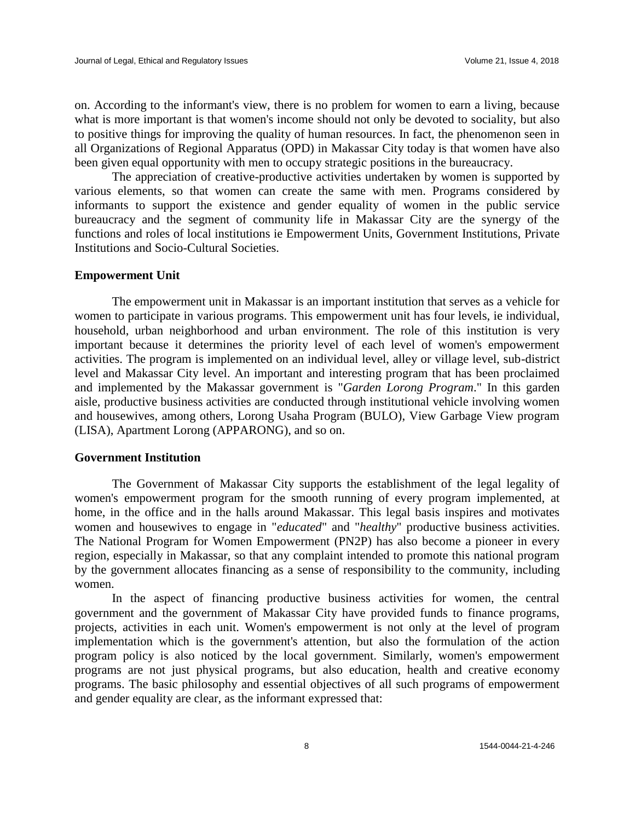on. According to the informant's view, there is no problem for women to earn a living, because what is more important is that women's income should not only be devoted to sociality, but also to positive things for improving the quality of human resources. In fact, the phenomenon seen in all Organizations of Regional Apparatus (OPD) in Makassar City today is that women have also been given equal opportunity with men to occupy strategic positions in the bureaucracy.

The appreciation of creative-productive activities undertaken by women is supported by various elements, so that women can create the same with men. Programs considered by informants to support the existence and gender equality of women in the public service bureaucracy and the segment of community life in Makassar City are the synergy of the functions and roles of local institutions ie Empowerment Units, Government Institutions, Private Institutions and Socio-Cultural Societies.

# **Empowerment Unit**

The empowerment unit in Makassar is an important institution that serves as a vehicle for women to participate in various programs. This empowerment unit has four levels, ie individual, household, urban neighborhood and urban environment. The role of this institution is very important because it determines the priority level of each level of women's empowerment activities. The program is implemented on an individual level, alley or village level, sub-district level and Makassar City level. An important and interesting program that has been proclaimed and implemented by the Makassar government is "*Garden Lorong Program*." In this garden aisle, productive business activities are conducted through institutional vehicle involving women and housewives, among others, Lorong Usaha Program (BULO), View Garbage View program (LISA), Apartment Lorong (APPARONG), and so on.

# **Government Institution**

The Government of Makassar City supports the establishment of the legal legality of women's empowerment program for the smooth running of every program implemented, at home, in the office and in the halls around Makassar. This legal basis inspires and motivates women and housewives to engage in "*educated*" and "*healthy*" productive business activities. The National Program for Women Empowerment (PN2P) has also become a pioneer in every region, especially in Makassar, so that any complaint intended to promote this national program by the government allocates financing as a sense of responsibility to the community, including women.

In the aspect of financing productive business activities for women, the central government and the government of Makassar City have provided funds to finance programs, projects, activities in each unit. Women's empowerment is not only at the level of program implementation which is the government's attention, but also the formulation of the action program policy is also noticed by the local government. Similarly, women's empowerment programs are not just physical programs, but also education, health and creative economy programs. The basic philosophy and essential objectives of all such programs of empowerment and gender equality are clear, as the informant expressed that: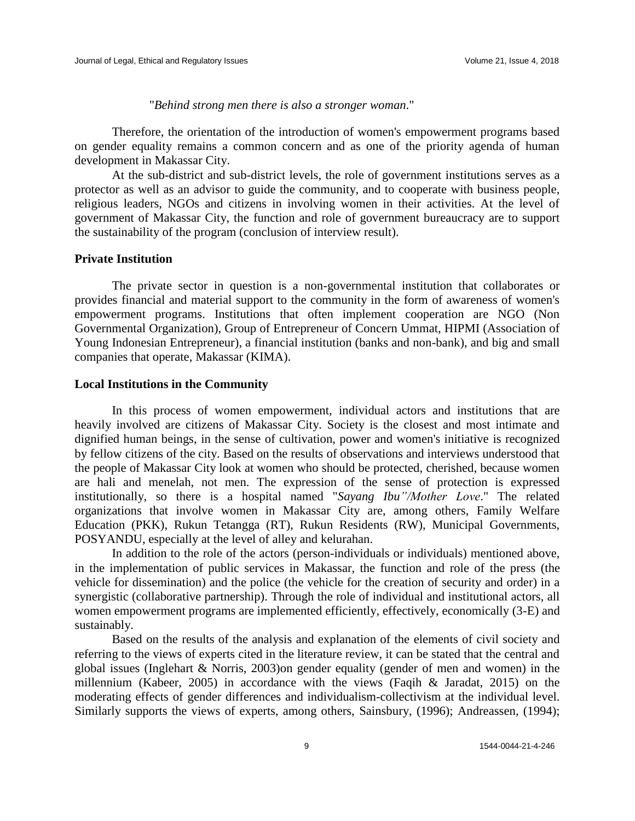"*Behind strong men there is also a stronger woman*."

Therefore, the orientation of the introduction of women's empowerment programs based on gender equality remains a common concern and as one of the priority agenda of human development in Makassar City.

At the sub-district and sub-district levels, the role of government institutions serves as a protector as well as an advisor to guide the community, and to cooperate with business people, religious leaders, NGOs and citizens in involving women in their activities. At the level of government of Makassar City, the function and role of government bureaucracy are to support the sustainability of the program (conclusion of interview result).

# **Private Institution**

The private sector in question is a non-governmental institution that collaborates or provides financial and material support to the community in the form of awareness of women's empowerment programs. Institutions that often implement cooperation are NGO (Non Governmental Organization), Group of Entrepreneur of Concern Ummat, HIPMI (Association of Young Indonesian Entrepreneur), a financial institution (banks and non-bank), and big and small companies that operate, Makassar (KIMA).

# **Local Institutions in the Community**

In this process of women empowerment, individual actors and institutions that are heavily involved are citizens of Makassar City. Society is the closest and most intimate and dignified human beings, in the sense of cultivation, power and women's initiative is recognized by fellow citizens of the city. Based on the results of observations and interviews understood that the people of Makassar City look at women who should be protected, cherished, because women are hali and menelah, not men. The expression of the sense of protection is expressed institutionally, so there is a hospital named "*Sayang Ibu"/Mother Love*." The related organizations that involve women in Makassar City are, among others, Family Welfare Education (PKK), Rukun Tetangga (RT), Rukun Residents (RW), Municipal Governments, POSYANDU, especially at the level of alley and kelurahan.

In addition to the role of the actors (person-individuals or individuals) mentioned above, in the implementation of public services in Makassar, the function and role of the press (the vehicle for dissemination) and the police (the vehicle for the creation of security and order) in a synergistic (collaborative partnership). Through the role of individual and institutional actors, all women empowerment programs are implemented efficiently, effectively, economically (3-E) and sustainably.

Based on the results of the analysis and explanation of the elements of civil society and referring to the views of experts cited in the literature review, it can be stated that the central and global issues (Inglehart & Norris, 2003)on gender equality (gender of men and women) in the millennium (Kabeer, 2005) in accordance with the views (Faqih & Jaradat, 2015) on the moderating effects of gender differences and individualism-collectivism at the individual level. Similarly supports the views of experts, among others, Sainsbury, (1996); Andreassen, (1994);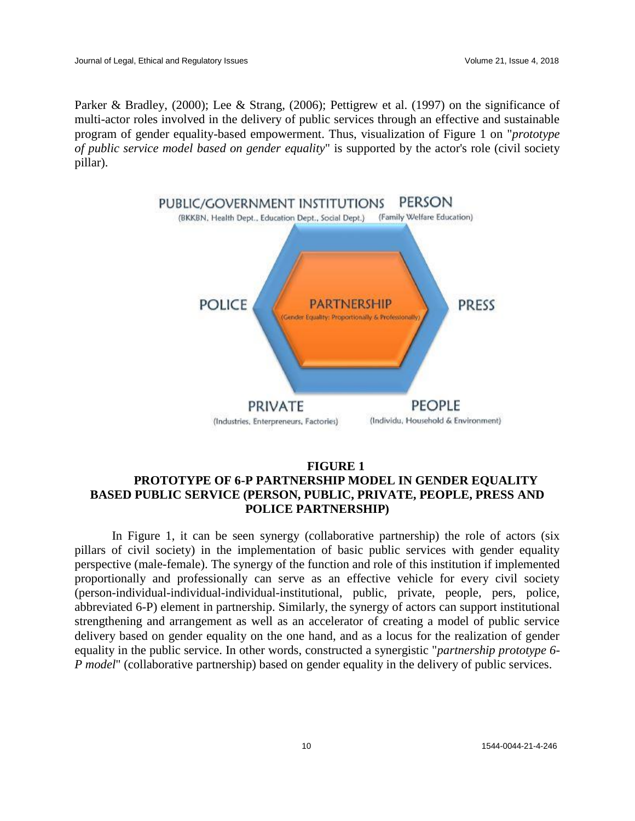Parker & Bradley, (2000); Lee & Strang, (2006); Pettigrew et al. (1997) on the significance of multi-actor roles involved in the delivery of public services through an effective and sustainable program of gender equality-based empowerment. Thus, visualization of Figure 1 on "*prototype of public service model based on gender equality*" is supported by the actor's role (civil society pillar).



# **FIGURE 1 PROTOTYPE OF 6-P PARTNERSHIP MODEL IN GENDER EQUALITY BASED PUBLIC SERVICE (PERSON, PUBLIC, PRIVATE, PEOPLE, PRESS AND POLICE PARTNERSHIP)**

In Figure 1, it can be seen synergy (collaborative partnership) the role of actors (six pillars of civil society) in the implementation of basic public services with gender equality perspective (male-female). The synergy of the function and role of this institution if implemented proportionally and professionally can serve as an effective vehicle for every civil society (person-individual-individual-individual-institutional, public, private, people, pers, police, abbreviated 6-P) element in partnership. Similarly, the synergy of actors can support institutional strengthening and arrangement as well as an accelerator of creating a model of public service delivery based on gender equality on the one hand, and as a locus for the realization of gender equality in the public service. In other words, constructed a synergistic "*partnership prototype 6- P model*" (collaborative partnership) based on gender equality in the delivery of public services.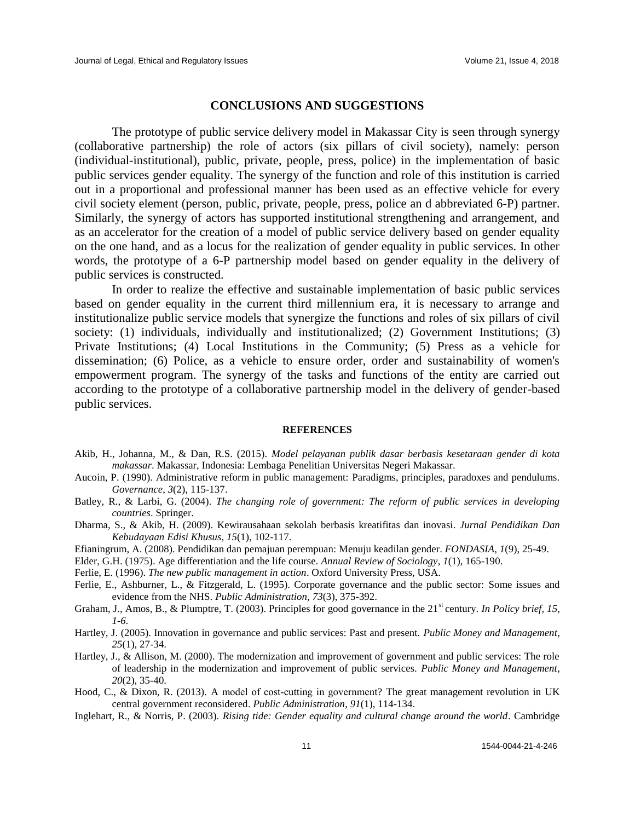# **CONCLUSIONS AND SUGGESTIONS**

The prototype of public service delivery model in Makassar City is seen through synergy (collaborative partnership) the role of actors (six pillars of civil society), namely: person (individual-institutional), public, private, people, press, police) in the implementation of basic public services gender equality. The synergy of the function and role of this institution is carried out in a proportional and professional manner has been used as an effective vehicle for every civil society element (person, public, private, people, press, police an d abbreviated 6-P) partner. Similarly, the synergy of actors has supported institutional strengthening and arrangement, and as an accelerator for the creation of a model of public service delivery based on gender equality on the one hand, and as a locus for the realization of gender equality in public services. In other words, the prototype of a 6-P partnership model based on gender equality in the delivery of public services is constructed.

In order to realize the effective and sustainable implementation of basic public services based on gender equality in the current third millennium era, it is necessary to arrange and institutionalize public service models that synergize the functions and roles of six pillars of civil society: (1) individuals, individually and institutionalized; (2) Government Institutions; (3) Private Institutions; (4) Local Institutions in the Community; (5) Press as a vehicle for dissemination; (6) Police, as a vehicle to ensure order, order and sustainability of women's empowerment program. The synergy of the tasks and functions of the entity are carried out according to the prototype of a collaborative partnership model in the delivery of gender-based public services.

#### **REFERENCES**

- Akib, H., Johanna, M., & Dan, R.S. (2015). *Model pelayanan publik dasar berbasis kesetaraan gender di kota makassar*. Makassar, Indonesia: Lembaga Penelitian Universitas Negeri Makassar.
- Aucoin, P. (1990). Administrative reform in public management: Paradigms, principles, paradoxes and pendulums. *Governance*, *3*(2), 115-137.
- Batley, R., & Larbi, G. (2004). *The changing role of government: The reform of public services in developing countries*. Springer.
- Dharma, S., & Akib, H. (2009). Kewirausahaan sekolah berbasis kreatifitas dan inovasi. *Jurnal Pendidikan Dan Kebudayaan Edisi Khusus*, *15*(1), 102-117.
- Efianingrum, A. (2008). Pendidikan dan pemajuan perempuan: Menuju keadilan gender. *FONDASIA*, *1*(9), 25-49.
- Elder, G.H. (1975). Age differentiation and the life course. *Annual Review of Sociology*, *1*(1), 165-190.

Ferlie, E. (1996). *The new public management in action*. Oxford University Press, USA.

- Ferlie, E., Ashburner, L., & Fitzgerald, L. (1995). Corporate governance and the public sector: Some issues and evidence from the NHS. *Public Administration*, *73*(3), 375-392.
- Graham, J., Amos, B., & Plumptre, T. (2003). Principles for good governance in the 21<sup>st</sup> century. *In Policy brief, 15, 1-6.*
- Hartley, J. (2005). Innovation in governance and public services: Past and present. *Public Money and Management*, *25*(1), 27-34.
- Hartley, J., & Allison, M. (2000). The modernization and improvement of government and public services: The role of leadership in the modernization and improvement of public services. *Public Money and Management*, *20*(2), 35-40.
- Hood, C., & Dixon, R. (2013). A model of cost-cutting in government? The great management revolution in UK central government reconsidered. *Public Administration*, *91*(1), 114-134.
- Inglehart, R., & Norris, P. (2003). *Rising tide: Gender equality and cultural change around the world*. Cambridge